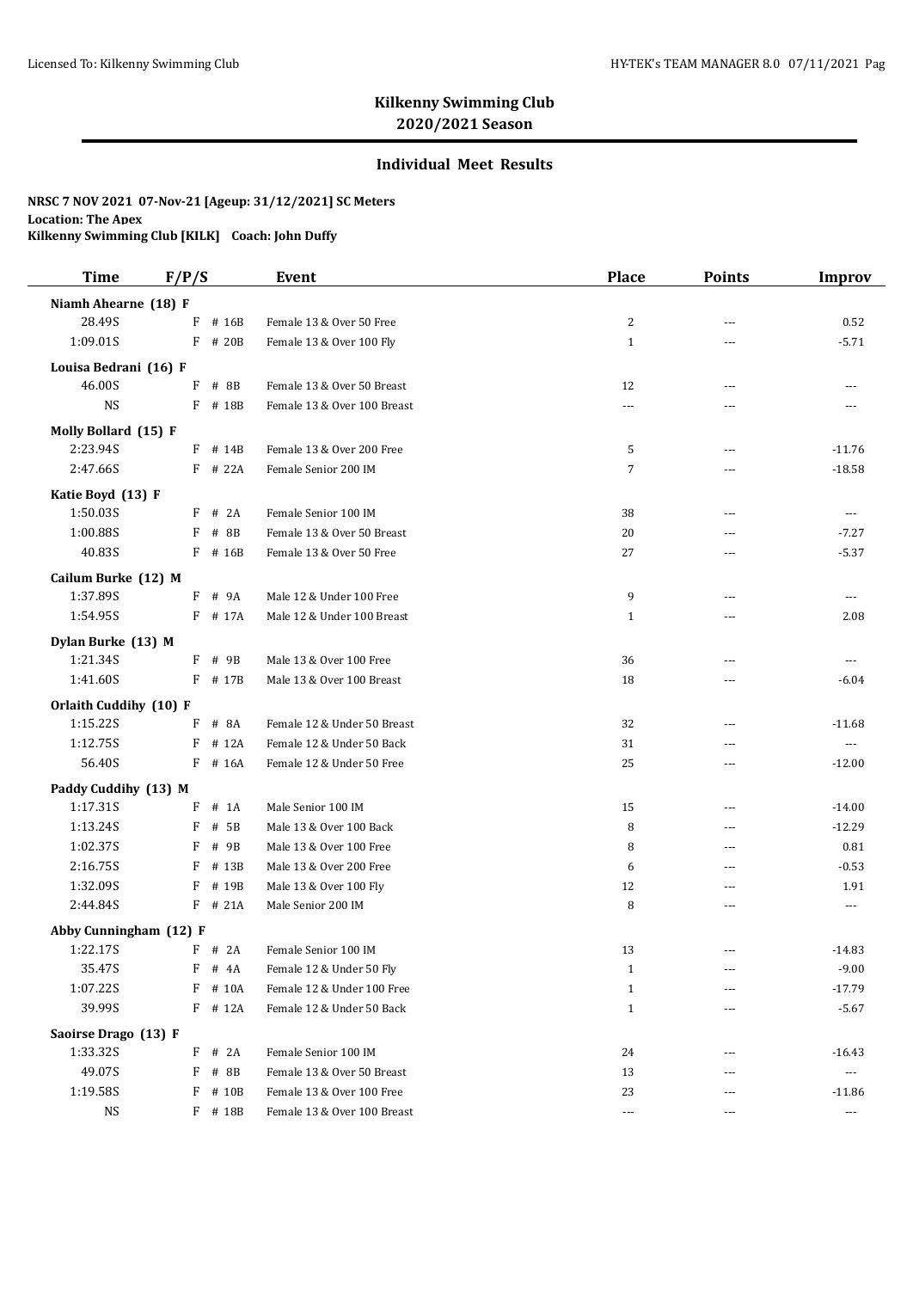# **Kilkenny Swimming Club 2020/2021 Season**

### **Individual Meet Results**

### **NRSC 7 NOV 2021 07-Nov-21 [Ageup: 31/12/2021] SC Meters Location: The Apex**

**Kilkenny Swimming Club [KILK] Coach: John Duffy**

| <b>Time</b>            | F/P/S        |           | <b>Event</b>                | <b>Place</b>   | <b>Points</b> | <b>Improv</b>         |
|------------------------|--------------|-----------|-----------------------------|----------------|---------------|-----------------------|
| Niamh Ahearne (18) F   |              |           |                             |                |               |                       |
| 28.49S                 | F            | # 16B     | Female 13 & Over 50 Free    | $\overline{c}$ | ---           | 0.52                  |
| 1:09.01S               | F            | # 20B     | Female 13 & Over 100 Fly    | $\mathbf{1}$   | ---           | $-5.71$               |
| Louisa Bedrani (16) F  |              |           |                             |                |               |                       |
| 46.00S                 | F            | $#$ 8B    | Female 13 & Over 50 Breast  | 12             | ---           |                       |
| <b>NS</b>              |              | F # 18B   | Female 13 & Over 100 Breast | ---            | $- - -$       | ---                   |
| Molly Bollard (15) F   |              |           |                             |                |               |                       |
| 2:23.94S               |              | $F$ # 14B | Female 13 & Over 200 Free   | 5              | ---           | $-11.76$              |
| 2:47.66S               |              | $F$ # 22A | Female Senior 200 IM        | $\overline{7}$ | ---           | $-18.58$              |
| Katie Boyd (13) F      |              |           |                             |                |               |                       |
| 1:50.03S               | F            | # 2A      | Female Senior 100 IM        | 38             | ---           | $---$                 |
| 1:00.88S               | F            | # 8B      | Female 13 & Over 50 Breast  | 20             | ---           | $-7.27$               |
| 40.83S                 |              | F # 16B   | Female 13 & Over 50 Free    | 27             | $\sim$ $\sim$ | $-5.37$               |
| Cailum Burke (12) M    |              |           |                             |                |               |                       |
| 1:37.89S               |              | F # 9A    | Male 12 & Under 100 Free    | 9              | $\sim$ $\sim$ | $---$                 |
| 1:54.95S               |              | F # 17A   | Male 12 & Under 100 Breast  | $\mathbf{1}$   | ---           | 2.08                  |
| Dylan Burke (13) M     |              |           |                             |                |               |                       |
| 1:21.34S               | F            | # 9B      | Male 13 & Over 100 Free     | 36             | ---           | $- - -$               |
| 1:41.60S               |              | $F$ # 17B | Male 13 & Over 100 Breast   | 18             | ---           | $-6.04$               |
| Orlaith Cuddihy (10) F |              |           |                             |                |               |                       |
| 1:15.22S               | $\mathbf{F}$ | # 8A      | Female 12 & Under 50 Breast | 32             | ---           | $-11.68$              |
| 1:12.75S               | F            | # 12A     | Female 12 & Under 50 Back   | 31             | ---           | $\scriptstyle \cdots$ |
| 56.40S                 |              | $F$ # 16A | Female 12 & Under 50 Free   | 25             | ---           | $-12.00$              |
| Paddy Cuddihy (13) M   |              |           |                             |                |               |                       |
| 1:17.31S               | F            | $#$ 1A    | Male Senior 100 IM          | 15             | ---           | $-14.00$              |
| 1:13.24S               | F            | # 5B      | Male 13 & Over 100 Back     | 8              | $\sim$ $\sim$ | $-12.29$              |
| 1:02.37S               | F            | # 9B      | Male 13 & Over 100 Free     | 8              | ---           | 0.81                  |
| 2:16.75S               | F            | # 13B     | Male 13 & Over 200 Free     | 6              | ---           | $-0.53$               |
| 1:32.09S               | F            | # 19B     | Male 13 & Over 100 Fly      | 12             | $- - -$       | 1.91                  |
| 2:44.84S               |              | $F$ # 21A | Male Senior 200 IM          | 8              | ---           | ---                   |
| Abby Cunningham (12) F |              |           |                             |                |               |                       |
| 1:22.17S               |              | $F$ # 2A  | Female Senior 100 IM        | 13             | ---           | $-14.83$              |
| 35.47S                 | F            | # 4A      | Female 12 & Under 50 Fly    | $\mathbf{1}$   | ---           | $-9.00$               |
| 1:07.22S               | F            | # 10A     | Female 12 & Under 100 Free  | $\mathbf{1}$   |               | $-17.79$              |
| 39.99S                 |              | $F$ # 12A | Female 12 & Under 50 Back   | $\mathbf{1}$   |               | $-5.67$               |
| Saoirse Drago (13) F   |              |           |                             |                |               |                       |
| 1:33.32S               |              | $F$ # 2A  | Female Senior 100 IM        | 24             | ---           | $-16.43$              |
| 49.07S                 | F            | # 8B      | Female 13 & Over 50 Breast  | 13             | ---           | $\scriptstyle\cdots$  |
| 1:19.58S               | F            | # 10B     | Female 13 & Over 100 Free   | 23             | ---           | $-11.86$              |
| <b>NS</b>              |              | $F$ # 18B | Female 13 & Over 100 Breast | $\ldots$       | $---$         | $\sim$ $\sim$ $\sim$  |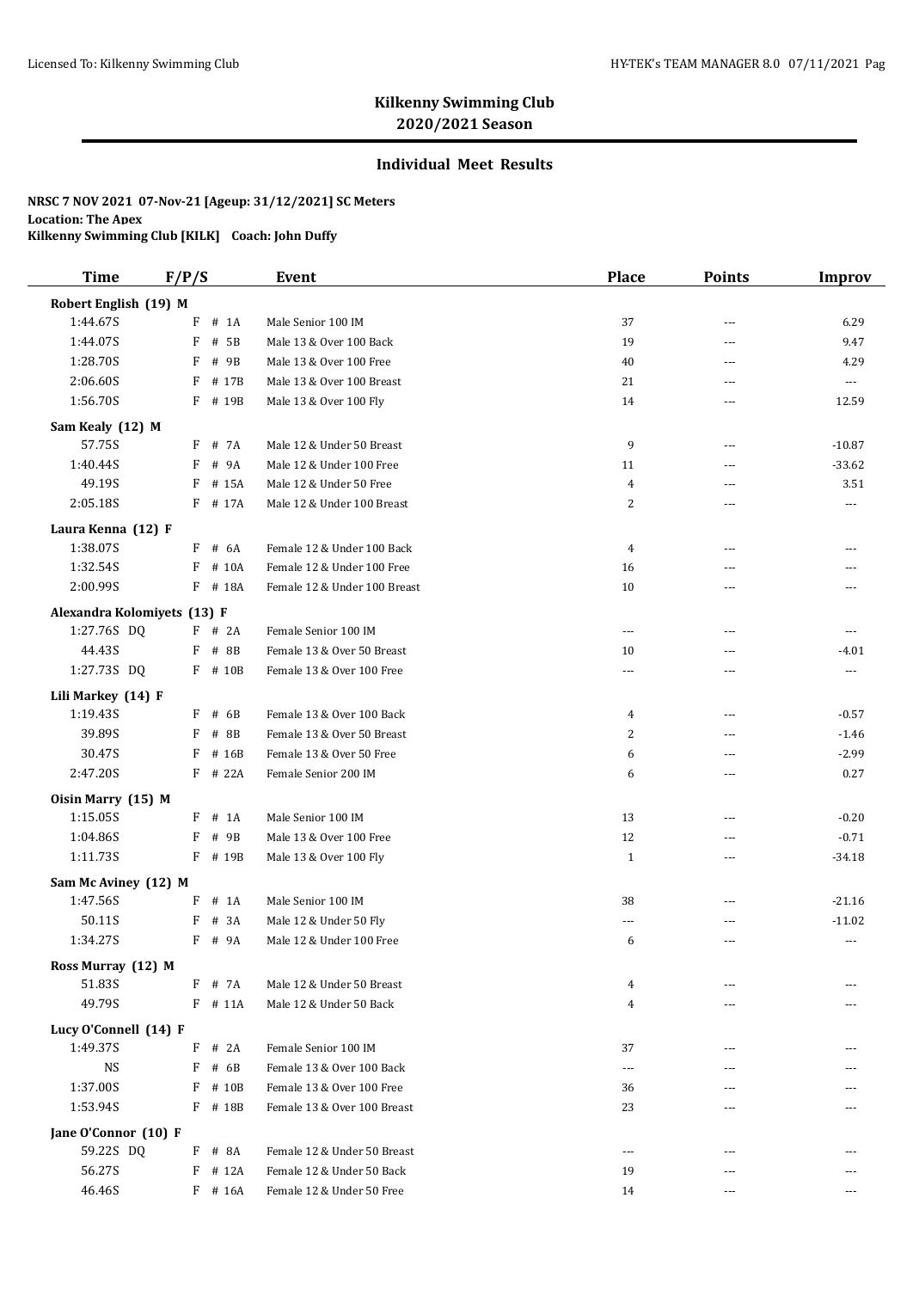# **Kilkenny Swimming Club 2020/2021 Season**

### **Individual Meet Results**

### **NRSC 7 NOV 2021 07-Nov-21 [Ageup: 31/12/2021] SC Meters Location: The Apex**

**Kilkenny Swimming Club [KILK] Coach: John Duffy**

| <b>Time</b>                 | F/P/S       | Event                        | <b>Place</b>   | <b>Points</b>  | Improv               |
|-----------------------------|-------------|------------------------------|----------------|----------------|----------------------|
| Robert English (19) M       |             |                              |                |                |                      |
| 1:44.67S                    | F<br>$#$ 1A | Male Senior 100 IM           | 37             | ---            | 6.29                 |
| 1:44.07S                    | F<br># 5B   | Male 13 & Over 100 Back      | 19             | $\overline{a}$ | 9.47                 |
| 1:28.70S                    | F<br># 9B   | Male 13 & Over 100 Free      | 40             | ---            | 4.29                 |
| 2:06.60S                    | F<br># 17B  | Male 13 & Over 100 Breast    | 21             | ---            | $\sim$ $\sim$ $\sim$ |
| 1:56.70S                    | F<br># 19B  | Male 13 & Over 100 Fly       | 14             | ---            | 12.59                |
| Sam Kealy (12) M            |             |                              |                |                |                      |
| 57.75S                      | # 7A<br>F   | Male 12 & Under 50 Breast    | 9              | ---            | $-10.87$             |
| 1:40.44S                    | F<br># 9A   | Male 12 & Under 100 Free     | 11             | ---            | $-33.62$             |
| 49.19S                      | F<br># 15A  | Male 12 & Under 50 Free      | $\overline{4}$ | ---            | 3.51                 |
| 2:05.18S                    | F<br># 17A  | Male 12 & Under 100 Breast   | 2              | ---            | ---                  |
| Laura Kenna (12) F          |             |                              |                |                |                      |
| 1:38.07S                    | F # 6A      | Female 12 & Under 100 Back   | $\overline{4}$ | ---            | ---                  |
| 1:32.54S                    | # 10A<br>F  | Female 12 & Under 100 Free   | 16             | ---            |                      |
| 2:00.99S                    | F # 18A     | Female 12 & Under 100 Breast | 10             | ---            |                      |
| Alexandra Kolomiyets (13) F |             |                              |                |                |                      |
| 1:27.76S DQ                 | $F$ # 2A    | Female Senior 100 IM         | $\sim$ $\sim$  | ---            |                      |
| 44.43S                      | F<br># 8B   | Female 13 & Over 50 Breast   | 10             | ---            | $-4.01$              |
| 1:27.73S DQ                 | F # 10B     | Female 13 & Over 100 Free    | $\overline{a}$ | ---            | $\ldots$             |
| Lili Markey (14) F          |             |                              |                |                |                      |
| 1:19.43S                    | F<br># 6B   | Female 13 & Over 100 Back    | 4              | $\overline{a}$ | $-0.57$              |
| 39.89S                      | F<br>$#$ 8B | Female 13 & Over 50 Breast   | 2              | ---            | $-1.46$              |
| 30.47S                      | F<br># 16B  | Female 13 & Over 50 Free     | 6              | ---            | $-2.99$              |
| 2:47.20S                    | F<br># 22A  | Female Senior 200 IM         | 6              | ---            | 0.27                 |
| Oisin Marry (15) M          |             |                              |                |                |                      |
| 1:15.05S                    | F<br>$#$ 1A | Male Senior 100 IM           | 13             | ---            | $-0.20$              |
| 1:04.86S                    | F<br># 9B   | Male 13 & Over 100 Free      | 12             | ---            | $-0.71$              |
| 1:11.73S                    | F # 19B     | Male 13 & Over 100 Fly       | $\mathbf{1}$   | $---$          | $-34.18$             |
| Sam Mc Aviney (12) M        |             |                              |                |                |                      |
| 1:47.56S                    | F<br># 1A   | Male Senior 100 IM           | 38             | ---            | $-21.16$             |
| 50.11S                      | # 3A<br>F   | Male 12 & Under 50 Fly       | ---            | ---            | $-11.02$             |
| 1:34.27S                    | F<br># 9A   | Male 12 & Under 100 Free     | 6              | ---            | $\scriptstyle\cdots$ |
| Ross Murray (12) M          |             |                              |                |                |                      |
| 51.83S                      | F<br># 7A   | Male 12 & Under 50 Breast    | 4              |                |                      |
| 49.79S                      | $F$ # 11A   | Male 12 & Under 50 Back      | 4              |                |                      |
| Lucy O'Connell (14) F       |             |                              |                |                |                      |
| 1:49.37S                    | F<br># 2A   | Female Senior 100 IM         | 37             | ---            |                      |
| <b>NS</b>                   | F<br># 6B   | Female 13 & Over 100 Back    | ---            | ---            |                      |
| 1:37.00S                    | F<br># 10B  | Female 13 & Over 100 Free    | 36             | ---            |                      |
| 1:53.94S                    | F # 18B     | Female 13 & Over 100 Breast  | 23             | ---            |                      |
| Jane O'Connor (10) F        |             |                              |                |                |                      |
| 59.22S DQ                   | # 8A<br>F   | Female 12 & Under 50 Breast  | $\overline{a}$ | ---            |                      |
| 56.27S                      | F<br># 12A  | Female 12 & Under 50 Back    | 19             |                |                      |
| 46.46S                      | F # 16A     | Female 12 & Under 50 Free    | 14             | $\cdots$       | ---                  |